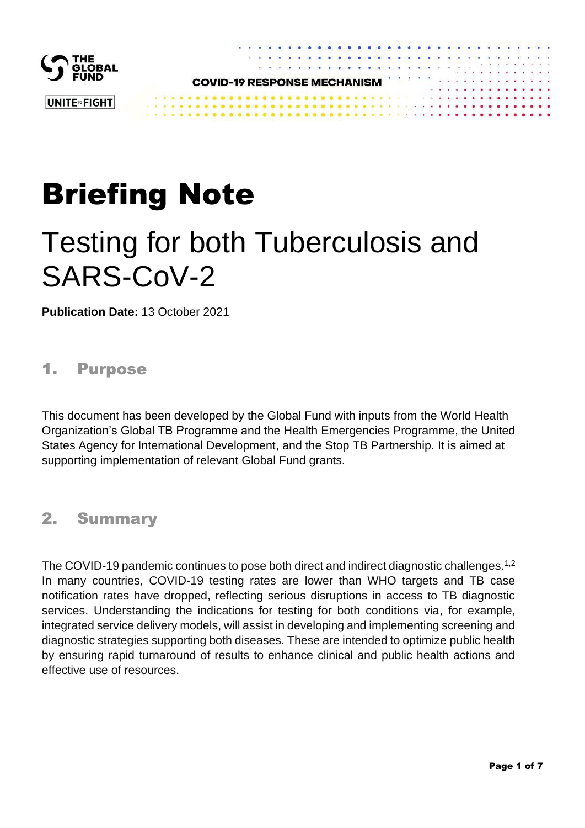

# Briefing Note

# Testing for both Tuberculosis and SARS-CoV-2

**Publication Date:** 13 October 2021

## 1. Purpose

This document has been developed by the Global Fund with inputs from the World Health Organization's Global TB Programme and the Health Emergencies Programme, the United States Agency for International Development, and the Stop TB Partnership. It is aimed at supporting implementation of relevant Global Fund grants.

## 2. Summary

The COVID-19 pandemic continues to pose both direct and indirect diagnostic challenges.<sup>1,2</sup> In many countries, COVID-19 testing rates are lower than WHO targets and TB case notification rates have dropped, reflecting serious disruptions in access to TB diagnostic services. Understanding the indications for testing for both conditions via, for example, integrated service delivery models, will assist in developing and implementing screening and diagnostic strategies supporting both diseases. These are intended to optimize public health by ensuring rapid turnaround of results to enhance clinical and public health actions and effective use of resources.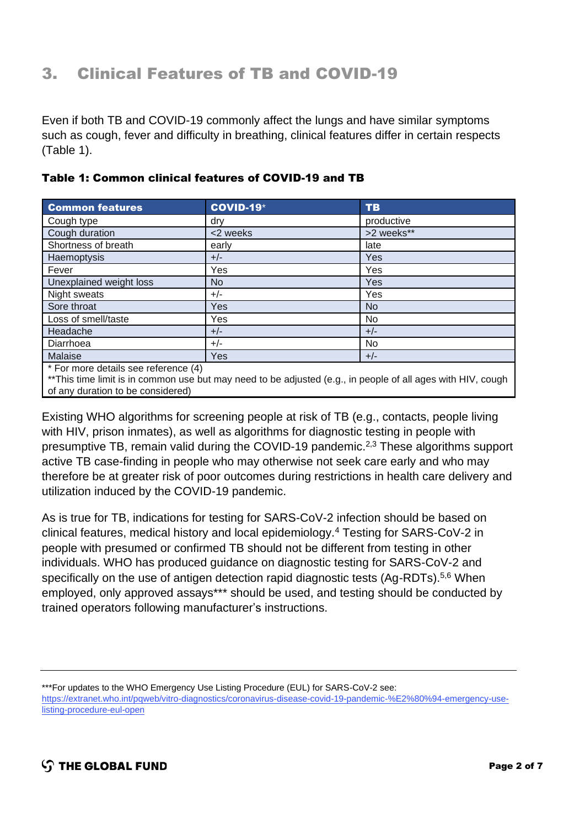# 3. Clinical Features of TB and COVID-19

Even if both TB and COVID-19 commonly affect the lungs and have similar symptoms such as cough, fever and difficulty in breathing, clinical features differ in certain respects (Table 1).

| <b>Common features</b>               | <b>COVID-19*</b> | <b>TB</b>  |
|--------------------------------------|------------------|------------|
| Cough type                           | drv              | productive |
| Cough duration                       | <2 weeks         | >2 weeks** |
| Shortness of breath                  | early            | late       |
| Haemoptysis                          | $+/-$            | Yes        |
| Fever                                | Yes              | Yes        |
| Unexplained weight loss              | N <sub>o</sub>   | <b>Yes</b> |
| Night sweats                         | $+/-$            | Yes        |
| Sore throat                          | <b>Yes</b>       | <b>No</b>  |
| Loss of smell/taste                  | Yes              | No         |
| Headache                             | $+/-$            | $+/-$      |
| Diarrhoea                            | $+/-$            | No         |
| Malaise                              | <b>Yes</b>       | $+/-$      |
| $*Enrmora dotoilo coa roforonoa (1)$ |                  |            |

#### Table 1: Common clinical features of COVID-19 and TB

For more details see reference (4)

\*\*This time limit is in common use but may need to be adjusted (e.g., in people of all ages with HIV, cough of any duration to be considered)

Existing WHO algorithms for screening people at risk of TB (e.g., contacts, people living with HIV, prison inmates), as well as algorithms for diagnostic testing in people with presumptive TB, remain valid during the COVID-19 pandemic.2,3 These algorithms support active TB case-finding in people who may otherwise not seek care early and who may therefore be at greater risk of poor outcomes during restrictions in health care delivery and utilization induced by the COVID-19 pandemic.

As is true for TB, indications for testing for SARS-CoV-2 infection should be based on clinical features, medical history and local epidemiology.<sup>4</sup> Testing for SARS-CoV-2 in people with presumed or confirmed TB should not be different from testing in other individuals. WHO has produced guidance on diagnostic testing for SARS-CoV-2 and specifically on the use of antigen detection rapid diagnostic tests (Ag-RDTs).<sup>5,6</sup> When employed, only approved assays\*\*\* should be used, and testing should be conducted by trained operators following manufacturer's instructions.

<sup>\*\*\*</sup>For updates to the WHO Emergency Use Listing Procedure (EUL) for SARS-CoV-2 see:

[https://extranet.who.int/pqweb/vitro-diagnostics/coronavirus-disease-covid-19-pandemic-%E2%80%94-emergency-use](https://extranet.who.int/pqweb/vitro-diagnostics/coronavirus-disease-covid-19-pandemic-%E2%80%94-emergency-use-listing-procedure-eul-open)[listing-procedure-eul-open](https://extranet.who.int/pqweb/vitro-diagnostics/coronavirus-disease-covid-19-pandemic-%E2%80%94-emergency-use-listing-procedure-eul-open)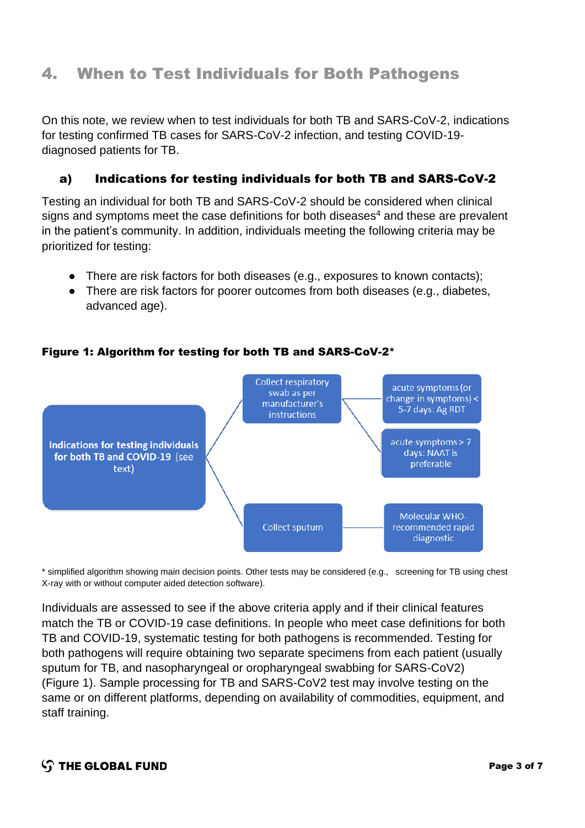## 4. When to Test Individuals for Both Pathogens

On this note, we review when to test individuals for both TB and SARS-CoV-2, indications for testing confirmed TB cases for SARS-CoV-2 infection, and testing COVID-19 diagnosed patients for TB.

### a) Indications for testing individuals for both TB and SARS-CoV-2

Testing an individual for both TB and SARS-CoV-2 should be considered when clinical signs and symptoms meet the case definitions for both diseases<sup>4</sup> and these are prevalent in the patient's community. In addition, individuals meeting the following criteria may be prioritized for testing:

- There are risk factors for both diseases (e.g., exposures to known contacts);
- There are risk factors for poorer outcomes from both diseases (e.g., diabetes, advanced age).

Collect respiratory acute symptoms (or swab as per change in symptoms) < manufacturer's 5-7 days: Ag RDT instructions acute symptoms > 7 Indications for testing individuals days: NAAT is for both TB and COVID-19 (see preferable text) Molecular WHO-Collect sputum recommended rapid diagnostic

#### Figure 1: Algorithm for testing for both TB and SARS-CoV-2\*

\* simplified algorithm showing main decision points. Other tests may be considered (e.g., screening for TB using chest X-ray with or without computer aided detection software).

Individuals are assessed to see if the above criteria apply and if their clinical features match the TB or COVID-19 case definitions. In people who meet case definitions for both TB and COVID-19, systematic testing for both pathogens is recommended. Testing for both pathogens will require obtaining two separate specimens from each patient (usually sputum for TB, and nasopharyngeal or oropharyngeal swabbing for SARS-CoV2) (Figure 1). Sample processing for TB and SARS-CoV2 test may involve testing on the same or on different platforms, depending on availability of commodities, equipment, and staff training.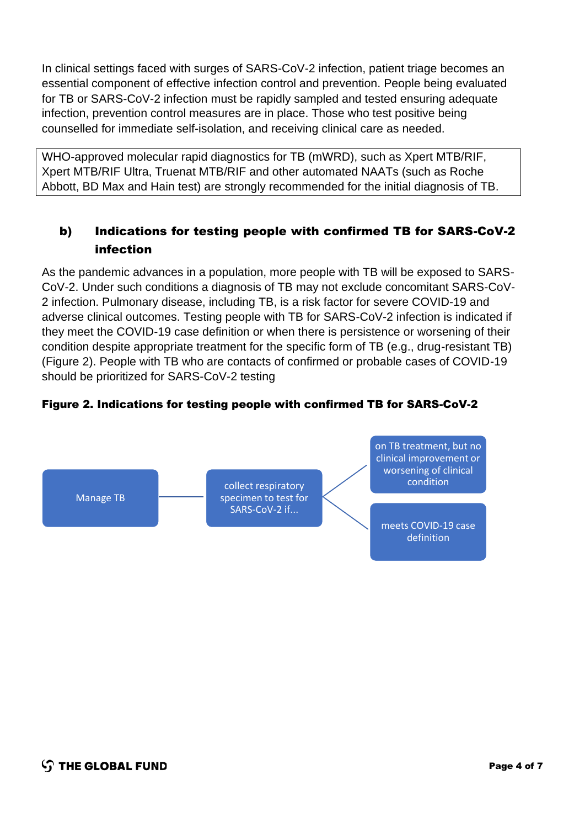In clinical settings faced with surges of SARS-CoV-2 infection, patient triage becomes an essential component of effective infection control and prevention. People being evaluated for TB or SARS-CoV-2 infection must be rapidly sampled and tested ensuring adequate infection, prevention control measures are in place. Those who test positive being counselled for immediate self-isolation, and receiving clinical care as needed.

WHO-approved molecular rapid diagnostics for TB (mWRD), such as Xpert MTB/RIF, Xpert MTB/RIF Ultra, Truenat MTB/RIF and other automated NAATs (such as Roche Abbott, BD Max and Hain test) are strongly recommended for the initial diagnosis of TB.

## b) Indications for testing people with confirmed TB for SARS-CoV-2 infection

As the pandemic advances in a population, more people with TB will be exposed to SARS-CoV-2. Under such conditions a diagnosis of TB may not exclude concomitant SARS-CoV-2 infection. Pulmonary disease, including TB, is a risk factor for severe COVID-19 and adverse clinical outcomes. Testing people with TB for SARS-CoV-2 infection is indicated if they meet the COVID-19 case definition or when there is persistence or worsening of their condition despite appropriate treatment for the specific form of TB (e.g., drug-resistant TB) (Figure 2). People with TB who are contacts of confirmed or probable cases of COVID-19 should be prioritized for SARS-CoV-2 testing

#### Figure 2. Indications for testing people with confirmed TB for SARS-CoV-2

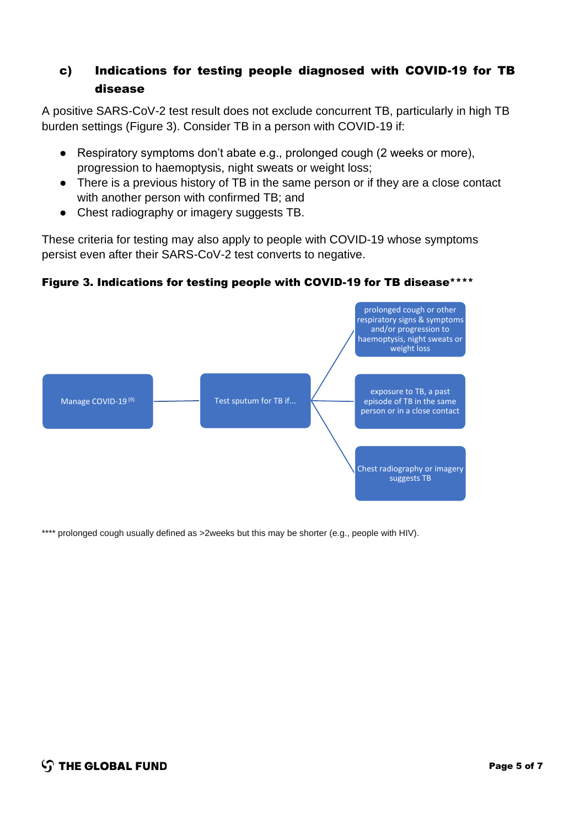## c) Indications for testing people diagnosed with COVID-19 for TB disease

A positive SARS-CoV-2 test result does not exclude concurrent TB, particularly in high TB burden settings (Figure 3). Consider TB in a person with COVID-19 if:

- Respiratory symptoms don't abate e.g., prolonged cough (2 weeks or more), progression to haemoptysis, night sweats or weight loss;
- There is a previous history of TB in the same person or if they are a close contact with another person with confirmed TB; and
- Chest radiography or imagery suggests TB.

These criteria for testing may also apply to people with COVID-19 whose symptoms persist even after their SARS-CoV-2 test converts to negative.



#### Figure 3. Indications for testing people with COVID-19 for TB disease\*\*\*\*

\*\*\*\* prolonged cough usually defined as >2weeks but this may be shorter (e.g., people with HIV).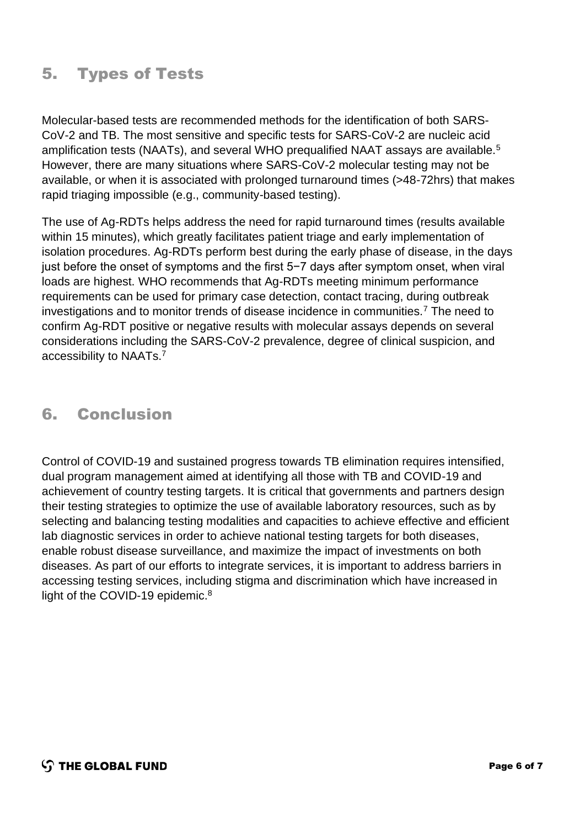# 5. Types of Tests

Molecular-based tests are recommended methods for the identification of both SARS-CoV-2 and TB. The most sensitive and specific tests for SARS-CoV-2 are nucleic acid amplification tests (NAATs), and several WHO prequalified NAAT assays are available.<sup>5</sup> However, there are many situations where SARS-CoV-2 molecular testing may not be available, or when it is associated with prolonged turnaround times (>48-72hrs) that makes rapid triaging impossible (e.g., community-based testing).

The use of Ag-RDTs helps address the need for rapid turnaround times (results available within 15 minutes), which greatly facilitates patient triage and early implementation of isolation procedures. Ag-RDTs perform best during the early phase of disease, in the days just before the onset of symptoms and the first 5−7 days after symptom onset, when viral loads are highest. WHO recommends that Ag-RDTs meeting minimum performance requirements can be used for primary case detection, contact tracing, during outbreak investigations and to monitor trends of disease incidence in communities.<sup>7</sup> The need to confirm Ag-RDT positive or negative results with molecular assays depends on several considerations including the SARS-CoV-2 prevalence, degree of clinical suspicion, and accessibility to NAATs.<sup>7</sup>

## 6. Conclusion

Control of COVID-19 and sustained progress towards TB elimination requires intensified, dual program management aimed at identifying all those with TB and COVID-19 and achievement of country testing targets. It is critical that governments and partners design their testing strategies to optimize the use of available laboratory resources, such as by selecting and balancing testing modalities and capacities to achieve effective and efficient lab diagnostic services in order to achieve national testing targets for both diseases, enable robust disease surveillance, and maximize the impact of investments on both diseases. As part of our efforts to integrate services, it is important to address barriers in accessing testing services, including stigma and discrimination which have increased in light of the COVID-19 epidemic.<sup>[8](#page-6-0)</sup>